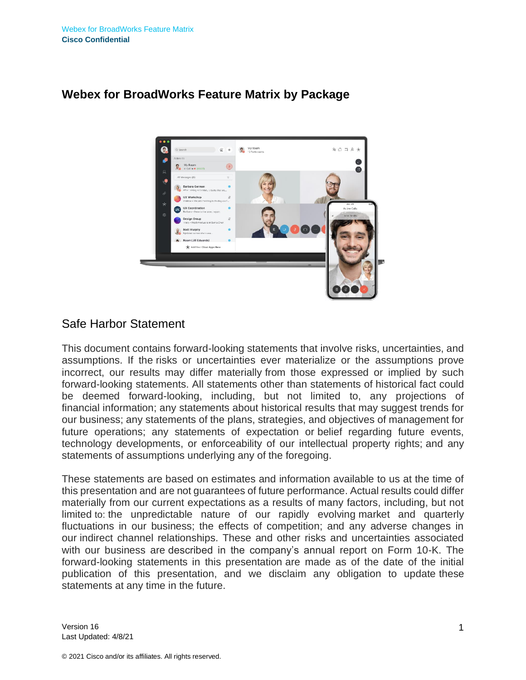

### **Webex for BroadWorks Feature Matrix by Package**

### Safe Harbor Statement

This document contains forward-looking statements that involve risks, uncertainties, and assumptions. If the risks or uncertainties ever materialize or the assumptions prove incorrect, our results may differ materially from those expressed or implied by such forward-looking statements. All statements other than statements of historical fact could be deemed forward-looking, including, but not limited to, any projections of financial information; any statements about historical results that may suggest trends for our business; any statements of the plans, strategies, and objectives of management for future operations; any statements of expectation or belief regarding future events, technology developments, or enforceability of our intellectual property rights; and any statements of assumptions underlying any of the foregoing.

These statements are based on estimates and information available to us at the time of this presentation and are not guarantees of future performance. Actual results could differ materially from our current expectations as a results of many factors, including, but not limited to: the unpredictable nature of our rapidly evolving market and quarterly fluctuations in our business; the effects of competition; and any adverse changes in our indirect channel relationships. These and other risks and uncertainties associated with our business are described in the company's annual report on Form 10-K. The forward-looking statements in this presentation are made as of the date of the initial publication of this presentation, and we disclaim any obligation to update these statements at any time in the future.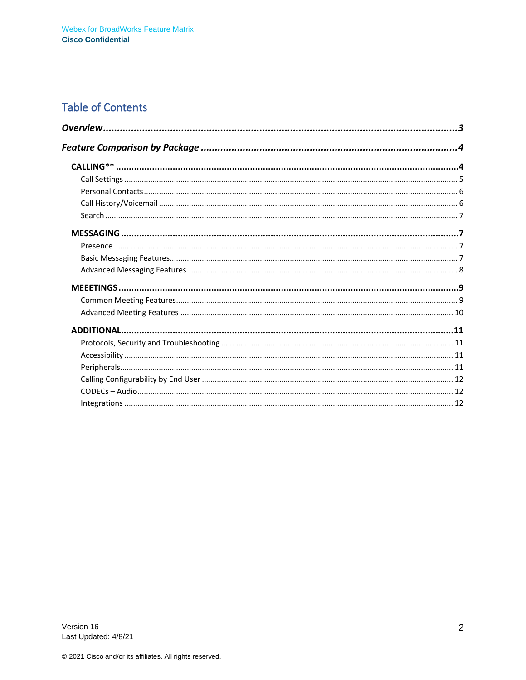## **Table of Contents**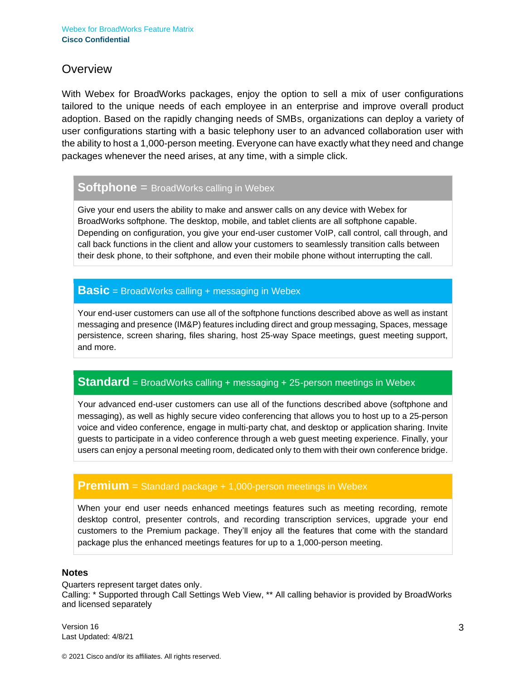### <span id="page-2-0"></span>**Overview**

With Webex for BroadWorks packages, enjoy the option to sell a mix of user configurations tailored to the unique needs of each employee in an enterprise and improve overall product adoption. Based on the rapidly changing needs of SMBs, organizations can deploy a variety of user configurations starting with a basic telephony user to an advanced collaboration user with the ability to host a 1,000-person meeting. Everyone can have exactly what they need and change packages whenever the need arises, at any time, with a simple click.

#### **Softphone** = BroadWorks calling in Webex

Give your end users the ability to make and answer calls on any device with Webex for BroadWorks softphone. The desktop, mobile, and tablet clients are all softphone capable. Depending on configuration, you give your end-user customer VoIP, call control, call through, and call back functions in the client and allow your customers to seamlessly transition calls between their desk phone, to their softphone, and even their mobile phone without interrupting the call.

#### **Basic** = BroadWorks calling + messaging in Webex

Your end-user customers can use all of the softphone functions described above as well as instant messaging and presence (IM&P) features including direct and group messaging, Spaces, message persistence, screen sharing, files sharing, host 25-way Space meetings, guest meeting support, and more.

### **Standard** = BroadWorks calling + messaging + 25-person meetings in Webex

Your advanced end-user customers can use all of the functions described above (softphone and messaging), as well as highly secure video conferencing that allows you to host up to a 25-person voice and video conference, engage in multi-party chat, and desktop or application sharing. Invite guests to participate in a video conference through a web guest meeting experience. Finally, your users can enjoy a personal meeting room, dedicated only to them with their own conference bridge.

#### **Premium** = Standard package + 1,000-person meetings in Webex

When your end user needs enhanced meetings features such as meeting recording, remote desktop control, presenter controls, and recording transcription services, upgrade your end customers to the Premium package. They'll enjoy all the features that come with the standard package plus the enhanced meetings features for up to a 1,000-person meeting.

#### **Notes**

Quarters represent target dates only. Calling: \* Supported through Call Settings Web View, \*\* All calling behavior is provided by BroadWorks and licensed separately

Version 16 Last Updated: 4/8/21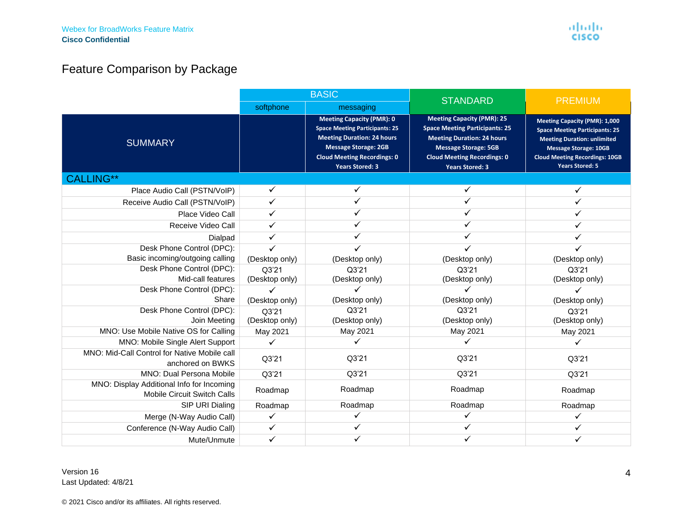# Feature Comparison by Package

<span id="page-3-1"></span><span id="page-3-0"></span>

|                                                                                 | <b>BASIC</b>            |                                                                                                                                                                                                               | <b>STANDARD</b>                                                                                                                                                                                                | <b>PREMIUM</b>                                                                                                                                                                                                         |
|---------------------------------------------------------------------------------|-------------------------|---------------------------------------------------------------------------------------------------------------------------------------------------------------------------------------------------------------|----------------------------------------------------------------------------------------------------------------------------------------------------------------------------------------------------------------|------------------------------------------------------------------------------------------------------------------------------------------------------------------------------------------------------------------------|
|                                                                                 | softphone               | messaging                                                                                                                                                                                                     |                                                                                                                                                                                                                |                                                                                                                                                                                                                        |
| <b>SUMMARY</b>                                                                  |                         | <b>Meeting Capacity (PMR): 0</b><br><b>Space Meeting Participants: 25</b><br><b>Meeting Duration: 24 hours</b><br><b>Message Storage: 2GB</b><br><b>Cloud Meeting Recordings: 0</b><br><b>Years Stored: 3</b> | <b>Meeting Capacity (PMR): 25</b><br><b>Space Meeting Participants: 25</b><br><b>Meeting Duration: 24 hours</b><br><b>Message Storage: 5GB</b><br><b>Cloud Meeting Recordings: 0</b><br><b>Years Stored: 3</b> | <b>Meeting Capacity (PMR): 1,000</b><br><b>Space Meeting Participants: 25</b><br><b>Meeting Duration: unlimited</b><br><b>Message Storage: 10GB</b><br><b>Cloud Meeting Recordings: 10GB</b><br><b>Years Stored: 5</b> |
| CALLING**                                                                       |                         |                                                                                                                                                                                                               |                                                                                                                                                                                                                |                                                                                                                                                                                                                        |
| Place Audio Call (PSTN/VoIP)                                                    | ✓                       | ✓                                                                                                                                                                                                             |                                                                                                                                                                                                                |                                                                                                                                                                                                                        |
| Receive Audio Call (PSTN/VoIP)                                                  |                         | ✓                                                                                                                                                                                                             | ✓                                                                                                                                                                                                              |                                                                                                                                                                                                                        |
| Place Video Call                                                                |                         |                                                                                                                                                                                                               | ✓                                                                                                                                                                                                              |                                                                                                                                                                                                                        |
| Receive Video Call                                                              | ✓                       | ✓                                                                                                                                                                                                             | ✓                                                                                                                                                                                                              |                                                                                                                                                                                                                        |
| Dialpad                                                                         |                         |                                                                                                                                                                                                               | ✓                                                                                                                                                                                                              |                                                                                                                                                                                                                        |
| Desk Phone Control (DPC):<br>Basic incoming/outgoing calling                    | (Desktop only)          | (Desktop only)                                                                                                                                                                                                | ✓<br>(Desktop only)                                                                                                                                                                                            | (Desktop only)                                                                                                                                                                                                         |
| Desk Phone Control (DPC):<br>Mid-call features                                  | Q3'21<br>(Desktop only) | Q3'21<br>(Desktop only)                                                                                                                                                                                       | Q3'21<br>(Desktop only)                                                                                                                                                                                        | Q3'21<br>(Desktop only)                                                                                                                                                                                                |
| Desk Phone Control (DPC):<br>Share                                              | (Desktop only)          | (Desktop only)                                                                                                                                                                                                | ✓<br>(Desktop only)                                                                                                                                                                                            | (Desktop only)                                                                                                                                                                                                         |
| Desk Phone Control (DPC):<br>Join Meeting                                       | Q3'21<br>(Desktop only) | Q3'21<br>(Desktop only)                                                                                                                                                                                       | Q3'21<br>(Desktop only)                                                                                                                                                                                        | Q3'21<br>(Desktop only)                                                                                                                                                                                                |
| MNO: Use Mobile Native OS for Calling                                           | May 2021                | May 2021                                                                                                                                                                                                      | May 2021                                                                                                                                                                                                       | May 2021                                                                                                                                                                                                               |
| MNO: Mobile Single Alert Support                                                | ✓                       | ✓                                                                                                                                                                                                             | ✓                                                                                                                                                                                                              | ✓                                                                                                                                                                                                                      |
| MNO: Mid-Call Control for Native Mobile call<br>anchored on BWKS                | Q3'21                   | Q3'21                                                                                                                                                                                                         | Q3'21                                                                                                                                                                                                          | Q3'21                                                                                                                                                                                                                  |
| <b>MNO: Dual Persona Mobile</b>                                                 | Q3'21                   | Q3'21                                                                                                                                                                                                         | Q3'21                                                                                                                                                                                                          | Q3'21                                                                                                                                                                                                                  |
| MNO: Display Additional Info for Incoming<br><b>Mobile Circuit Switch Calls</b> | Roadmap                 | Roadmap                                                                                                                                                                                                       | Roadmap                                                                                                                                                                                                        | Roadmap                                                                                                                                                                                                                |
| SIP URI Dialing                                                                 | Roadmap                 | Roadmap                                                                                                                                                                                                       | Roadmap                                                                                                                                                                                                        | Roadmap                                                                                                                                                                                                                |
| Merge (N-Way Audio Call)                                                        |                         |                                                                                                                                                                                                               |                                                                                                                                                                                                                |                                                                                                                                                                                                                        |
| Conference (N-Way Audio Call)                                                   | ✓                       |                                                                                                                                                                                                               |                                                                                                                                                                                                                |                                                                                                                                                                                                                        |
| Mute/Unmute                                                                     | ✓                       |                                                                                                                                                                                                               |                                                                                                                                                                                                                |                                                                                                                                                                                                                        |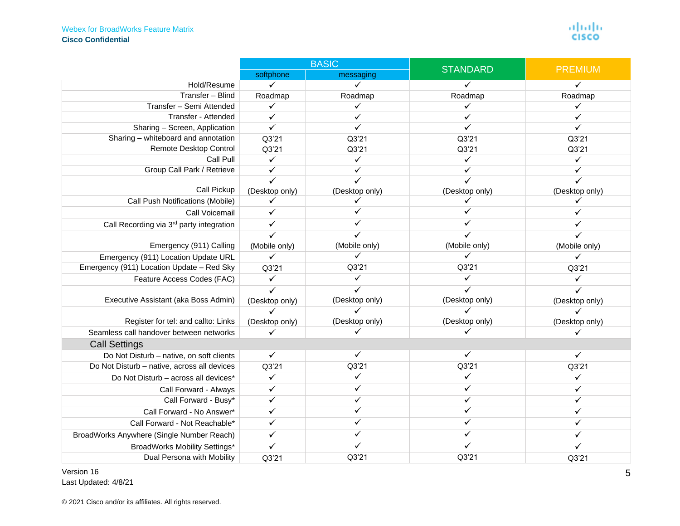#### Webex for BroadWorks Feature Matrix **Cisco Confidential**

|                                             | <b>BASIC</b>   |                | <b>STANDARD</b> |                |
|---------------------------------------------|----------------|----------------|-----------------|----------------|
|                                             | softphone      | messaging      |                 | <b>PREMIUM</b> |
| Hold/Resume                                 | ✓              | $\checkmark$   |                 | ✓              |
| Transfer - Blind                            | Roadmap        | Roadmap        | Roadmap         | Roadmap        |
| Transfer - Semi Attended                    | ✓              | ✓              | ✓               | ✓              |
| Transfer - Attended                         | ✓              | ✓              | ✓               |                |
| Sharing - Screen, Application               | $\checkmark$   |                | ✓               | ✓              |
| Sharing - whiteboard and annotation         | Q3'21          | Q3'21          | Q3'21           | Q3'21          |
| Remote Desktop Control                      | Q3'21          | Q3'21          | Q3'21           | Q3'21          |
| Call Pull                                   | $\checkmark$   | $\checkmark$   | $\checkmark$    | $\checkmark$   |
| Group Call Park / Retrieve                  | $\checkmark$   |                | ✓               | ✓              |
|                                             | ✓              |                | $\checkmark$    | ✓              |
| Call Pickup                                 | (Desktop only) | (Desktop only) | (Desktop only)  | (Desktop only) |
| Call Push Notifications (Mobile)            |                |                |                 |                |
| Call Voicemail                              | ✓              |                |                 |                |
| Call Recording via 3rd party integration    | $\checkmark$   |                | ✓               |                |
|                                             | ✓              |                | ✓               |                |
| Emergency (911) Calling                     | (Mobile only)  | (Mobile only)  | (Mobile only)   | (Mobile only)  |
| Emergency (911) Location Update URL         | $\checkmark$   | ✓              | ✓               | ✓              |
| Emergency (911) Location Update - Red Sky   | Q3'21          | Q3'21          | Q3'21           | Q3'21          |
| Feature Access Codes (FAC)                  | $\checkmark$   | $\checkmark$   | $\checkmark$    | ✓              |
|                                             | $\checkmark$   | ✓              | ✓               | $\checkmark$   |
| Executive Assistant (aka Boss Admin)        | (Desktop only) | (Desktop only) | (Desktop only)  | (Desktop only) |
|                                             | ✓              |                |                 | ✓              |
| Register for tel: and callto: Links         | (Desktop only) | (Desktop only) | (Desktop only)  | (Desktop only) |
| Seamless call handover between networks     |                |                |                 |                |
| <b>Call Settings</b>                        |                |                |                 |                |
| Do Not Disturb - native, on soft clients    | $\checkmark$   | $\checkmark$   | ✓               | ✓              |
| Do Not Disturb - native, across all devices | Q3'21          | Q3'21          | Q3'21           | Q3'21          |
| Do Not Disturb - across all devices*        | $\checkmark$   | $\checkmark$   | $\checkmark$    | ✓              |
| Call Forward - Always                       | ✓              | ✓              | ✓               |                |
| Call Forward - Busy*                        | ✓              | ✓              | ✓               |                |
| Call Forward - No Answer*                   | ✓              |                |                 |                |
| Call Forward - Not Reachable*               | ✓              |                | ✓               |                |
| BroadWorks Anywhere (Single Number Reach)   | ✓              |                |                 |                |
| BroadWorks Mobility Settings*               | $\checkmark$   |                | ✓               |                |
| Dual Persona with Mobility                  | Q3'21          | Q3'21          | Q3'21           | Q3'21          |

<span id="page-4-0"></span>Version 16 Last Updated: 4/8/21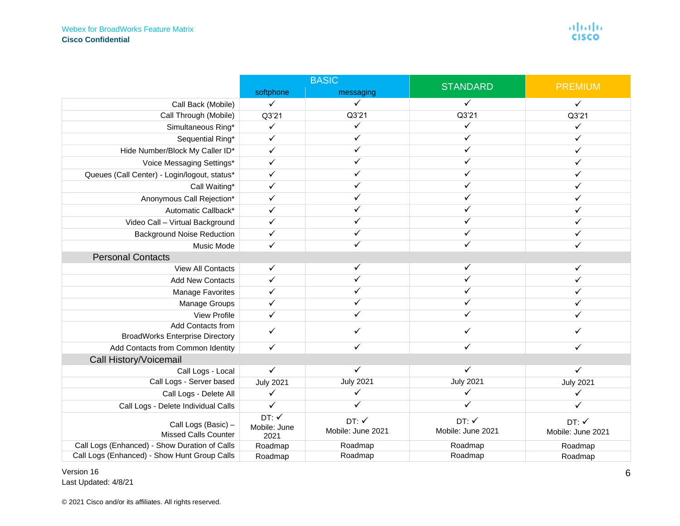|                                                             | <b>BASIC</b>                 |                           | <b>STANDARD</b>           | <b>PREMIUM</b>            |
|-------------------------------------------------------------|------------------------------|---------------------------|---------------------------|---------------------------|
|                                                             | softphone                    | messaging                 |                           |                           |
| Call Back (Mobile)                                          | $\checkmark$                 | ✓                         | ✓                         | $\checkmark$              |
| Call Through (Mobile)                                       | Q3'21                        | Q3'21                     | Q3'21                     | Q3'21                     |
| Simultaneous Ring*                                          | $\checkmark$                 | ✓                         | $\checkmark$              | ✓                         |
| Sequential Ring*                                            | $\checkmark$                 | ✓                         | $\checkmark$              | ✓                         |
| Hide Number/Block My Caller ID*                             | $\checkmark$                 | ✓                         | $\checkmark$              | ✓                         |
| Voice Messaging Settings*                                   | $\checkmark$                 |                           | ✓                         |                           |
| Queues (Call Center) - Login/logout, status*                | ✓                            |                           | ✓                         |                           |
| Call Waiting*                                               | ✓                            |                           | ✓                         |                           |
| Anonymous Call Rejection*                                   | $\checkmark$                 |                           | ✓                         |                           |
| Automatic Callback*                                         | ✓                            | ✓                         | ✓                         |                           |
| Video Call - Virtual Background                             | ✓                            |                           | ✓                         |                           |
| <b>Background Noise Reduction</b>                           | $\checkmark$                 |                           | ✓                         |                           |
| Music Mode                                                  | $\checkmark$                 | ✓                         | ✓                         |                           |
| <b>Personal Contacts</b>                                    |                              |                           |                           |                           |
| <b>View All Contacts</b>                                    | $\checkmark$                 | ✓                         | ✓                         | ✓                         |
| <b>Add New Contacts</b>                                     | $\checkmark$                 |                           | $\checkmark$              |                           |
| <b>Manage Favorites</b>                                     | $\checkmark$                 |                           | ✓                         |                           |
| Manage Groups                                               | ✓                            |                           |                           |                           |
| <b>View Profile</b>                                         | $\checkmark$                 |                           | ✓                         |                           |
| Add Contacts from<br><b>BroadWorks Enterprise Directory</b> | $\checkmark$                 |                           |                           |                           |
| Add Contacts from Common Identity                           | $\checkmark$                 |                           | ✓                         | ✓                         |
| Call History/Voicemail                                      |                              |                           |                           |                           |
| Call Logs - Local                                           | $\checkmark$                 | ✓                         | $\checkmark$              | $\checkmark$              |
| Call Logs - Server based                                    | <b>July 2021</b>             | <b>July 2021</b>          | <b>July 2021</b>          | <b>July 2021</b>          |
| Call Logs - Delete All                                      | $\checkmark$                 | ✓                         | ✓                         | ✓                         |
| Call Logs - Delete Individual Calls                         | $\checkmark$                 |                           | ✓                         | ✓                         |
| Call Logs (Basic) -<br><b>Missed Calls Counter</b>          | DT:V<br>Mobile: June<br>2021 | DT:V<br>Mobile: June 2021 | DT:V<br>Mobile: June 2021 | DT:V<br>Mobile: June 2021 |
| Call Logs (Enhanced) - Show Duration of Calls               | Roadmap                      | Roadmap                   | Roadmap                   | Roadmap                   |
| Call Logs (Enhanced) - Show Hunt Group Calls                | Roadmap                      | Roadmap                   | Roadmap                   | Roadmap                   |

<span id="page-5-1"></span><span id="page-5-0"></span>Version 16 Last Updated: 4/8/21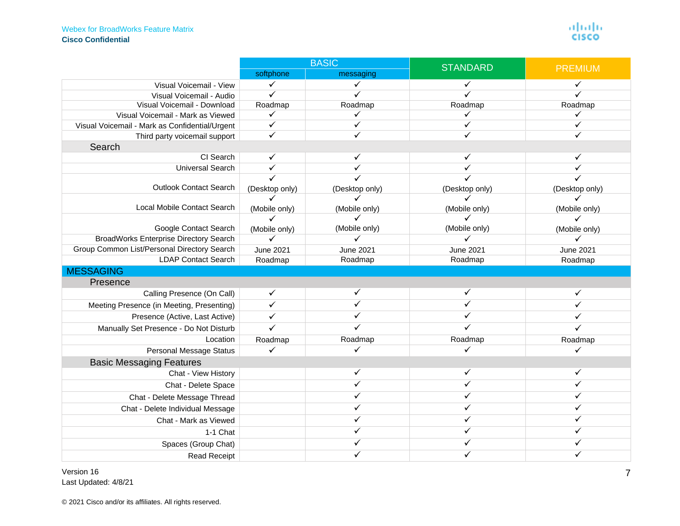<span id="page-6-3"></span><span id="page-6-2"></span><span id="page-6-1"></span><span id="page-6-0"></span>

|                                                | <b>BASIC</b>     |                  | <b>STANDARD</b> | <b>PREMIUM</b>   |
|------------------------------------------------|------------------|------------------|-----------------|------------------|
|                                                | softphone        | messaging        |                 |                  |
| Visual Voicemail - View                        | ✓                | $\checkmark$     |                 | ✓                |
| Visual Voicemail - Audio                       | $\checkmark$     |                  |                 |                  |
| Visual Voicemail - Download                    | Roadmap          | Roadmap          | Roadmap         | Roadmap          |
| Visual Voicemail - Mark as Viewed              | $\checkmark$     | ✓                | ✓               | ✓                |
| Visual Voicemail - Mark as Confidential/Urgent | $\checkmark$     | ✓                | ✓               | ✓                |
| Third party voicemail support                  | $\checkmark$     |                  | ✓               | ✓                |
| Search                                         |                  |                  |                 |                  |
| CI Search                                      | $\checkmark$     | ✓                | $\checkmark$    | ✓                |
| <b>Universal Search</b>                        | $\checkmark$     |                  | ✓               |                  |
|                                                |                  |                  |                 |                  |
| <b>Outlook Contact Search</b>                  | (Desktop only)   | (Desktop only)   | (Desktop only)  | (Desktop only)   |
|                                                | ✓                |                  | ✓               |                  |
| Local Mobile Contact Search                    | (Mobile only)    | (Mobile only)    | (Mobile only)   | (Mobile only)    |
|                                                | $\checkmark$     | ✓                | ✓               | $\checkmark$     |
| Google Contact Search                          | (Mobile only)    | (Mobile only)    | (Mobile only)   | (Mobile only)    |
| <b>BroadWorks Enterprise Directory Search</b>  | ✓                | $\checkmark$     | ✓               | $\checkmark$     |
| Group Common List/Personal Directory Search    | <b>June 2021</b> | <b>June 2021</b> | June 2021       | <b>June 2021</b> |
| <b>LDAP Contact Search</b>                     | Roadmap          | Roadmap          | Roadmap         | Roadmap          |
| <b>MESSAGING</b>                               |                  |                  |                 |                  |
| Presence                                       |                  |                  |                 |                  |
| Calling Presence (On Call)                     | $\checkmark$     | ✓                | ✓               | ✓                |
| Meeting Presence (in Meeting, Presenting)      | $\checkmark$     |                  | ✓               |                  |
| Presence (Active, Last Active)                 | ✓                |                  | ✓               |                  |
| Manually Set Presence - Do Not Disturb         | $\checkmark$     |                  | ✓               | ✓                |
| Location                                       | Roadmap          | Roadmap          | Roadmap         | Roadmap          |
| <b>Personal Message Status</b>                 |                  |                  | ✓               | ✓                |
| <b>Basic Messaging Features</b>                |                  |                  |                 |                  |
| Chat - View History                            |                  | ✓                | ✓               | $\checkmark$     |
| Chat - Delete Space                            |                  |                  | ✓               | ✓                |
| Chat - Delete Message Thread                   |                  |                  | ✓               |                  |
| Chat - Delete Individual Message               |                  |                  | ✓               |                  |
| Chat - Mark as Viewed                          |                  |                  | ✓               |                  |
| 1-1 Chat                                       |                  |                  | ✓               |                  |
| Spaces (Group Chat)                            |                  |                  | ✓               |                  |
| <b>Read Receipt</b>                            |                  | ✓                | ✓               | ✓                |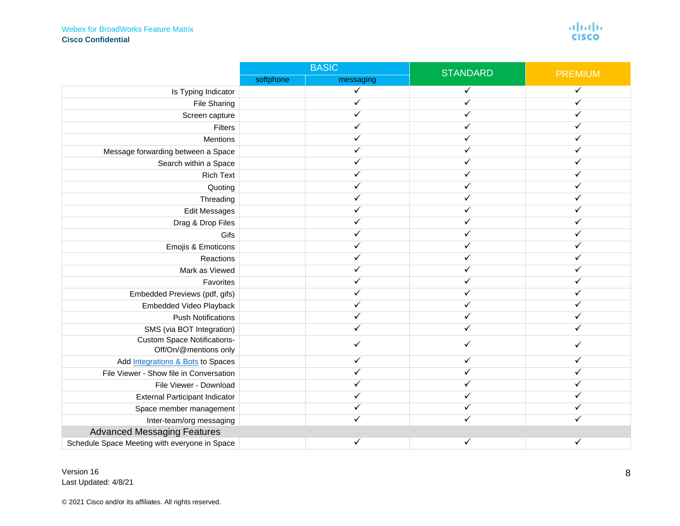#### Webex for BroadWorks Feature Matrix **Cisco Confidential**

 $\frac{\alpha\| \alpha\| \alpha}{\mathsf{c}(\mathsf{s}\mathsf{c}\mathsf{o}}$ 

<span id="page-7-0"></span>

|                                                             | <b>BASIC</b> |              | <b>STANDARD</b> | <b>PREMIUM</b> |
|-------------------------------------------------------------|--------------|--------------|-----------------|----------------|
|                                                             | softphone    | messaging    |                 |                |
| Is Typing Indicator                                         |              | $\checkmark$ | ✓               | $\checkmark$   |
| <b>File Sharing</b>                                         |              |              | ✓               | ✓              |
| Screen capture                                              |              |              | ✓               |                |
| Filters                                                     |              |              | ✓               |                |
| Mentions                                                    |              |              |                 |                |
| Message forwarding between a Space                          |              |              | ✓               | ✓              |
| Search within a Space                                       |              |              | ✓               |                |
| <b>Rich Text</b>                                            |              |              |                 |                |
| Quoting                                                     |              |              |                 |                |
| Threading                                                   |              |              | ✓               |                |
| <b>Edit Messages</b>                                        |              |              |                 |                |
| Drag & Drop Files                                           |              |              | ✓               |                |
| Gifs                                                        |              |              | ✓               | ✓              |
| Emojis & Emoticons                                          |              |              | ✓               |                |
| Reactions                                                   |              |              | ✓               |                |
| Mark as Viewed                                              |              |              |                 |                |
| Favorites                                                   |              |              |                 |                |
| Embedded Previews (pdf, gifs)                               |              |              |                 |                |
| Embedded Video Playback                                     |              |              | ✓               |                |
| <b>Push Notifications</b>                                   |              |              | ✓               |                |
| SMS (via BOT Integration)                                   |              |              |                 |                |
| <b>Custom Space Notifications-</b><br>Off/On/@mentions only |              |              | ✓               | ✓              |
| Add Integrations & Bots to Spaces                           |              |              | ✓               |                |
| File Viewer - Show file in Conversation                     |              |              |                 |                |
| File Viewer - Download                                      |              |              | ✓               |                |
| <b>External Participant Indicator</b>                       |              |              | ✓               |                |
| Space member management                                     |              |              | ✓               | ✓              |
| Inter-team/org messaging                                    |              |              |                 |                |
| <b>Advanced Messaging Features</b>                          |              |              |                 |                |
| Schedule Space Meeting with everyone in Space               |              |              | ✓               | ✓              |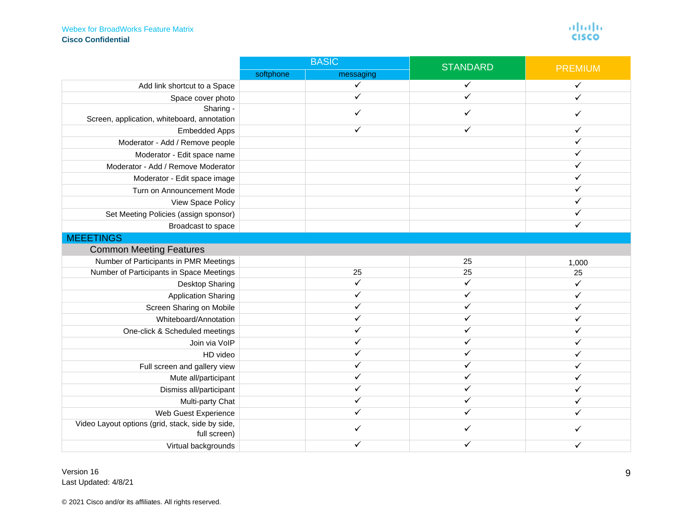<span id="page-8-1"></span><span id="page-8-0"></span>

|                                                                  | <b>BASIC</b> |              | <b>STANDARD</b> |                |
|------------------------------------------------------------------|--------------|--------------|-----------------|----------------|
|                                                                  | softphone    | messaging    |                 | <b>PREMIUM</b> |
| Add link shortcut to a Space                                     |              | $\checkmark$ | ✓               | ✓              |
| Space cover photo                                                |              | $\checkmark$ | $\checkmark$    |                |
| Sharing -<br>Screen, application, whiteboard, annotation         |              | ✓            | ✓               | ✓              |
| <b>Embedded Apps</b>                                             |              | $\checkmark$ | $\checkmark$    | ✓              |
| Moderator - Add / Remove people                                  |              |              |                 | ✓              |
| Moderator - Edit space name                                      |              |              |                 | ✓              |
| Moderator - Add / Remove Moderator                               |              |              |                 | ✓              |
| Moderator - Edit space image                                     |              |              |                 | ✓              |
| Turn on Announcement Mode                                        |              |              |                 |                |
| View Space Policy                                                |              |              |                 |                |
| Set Meeting Policies (assign sponsor)                            |              |              |                 |                |
| Broadcast to space                                               |              |              |                 | $\checkmark$   |
| <b>MEEETINGS</b>                                                 |              |              |                 |                |
| <b>Common Meeting Features</b>                                   |              |              |                 |                |
| Number of Participants in PMR Meetings                           |              |              | 25              | 1,000          |
| Number of Participants in Space Meetings                         |              | 25           | 25              | 25             |
| <b>Desktop Sharing</b>                                           |              | $\checkmark$ | $\checkmark$    | $\checkmark$   |
| <b>Application Sharing</b>                                       |              | $\checkmark$ | ✓               | ✓              |
| Screen Sharing on Mobile                                         |              | ✓            | ✓               | ✓              |
| Whiteboard/Annotation                                            |              |              | ✓               |                |
| One-click & Scheduled meetings                                   |              |              | ✓               |                |
| Join via VoIP                                                    |              |              | ✓               | ✓              |
| HD video                                                         |              |              | ✓               |                |
| Full screen and gallery view                                     |              |              | ✓               |                |
| Mute all/participant                                             |              |              | ✓               |                |
| Dismiss all/participant                                          |              |              |                 |                |
| Multi-party Chat                                                 |              |              | ✓               |                |
| Web Guest Experience                                             |              | ✓            | ✓               | ✓              |
| Video Layout options (grid, stack, side by side,<br>full screen) |              |              | ✓               |                |
| Virtual backgrounds                                              |              | $\checkmark$ | ✓               | ✓              |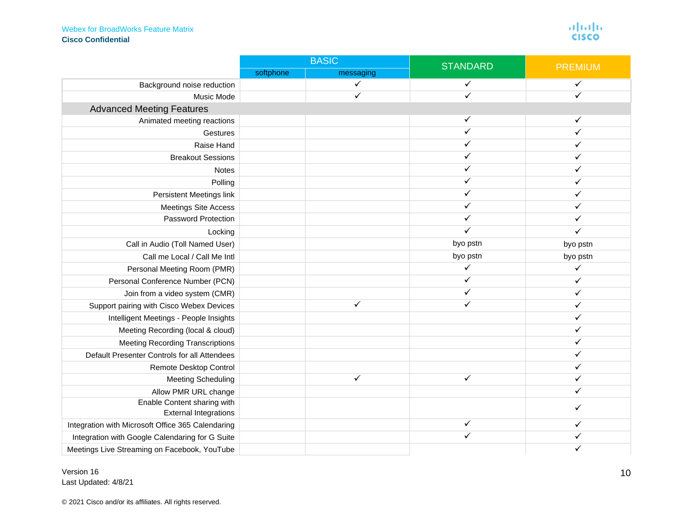aliah)<br>cisco

<span id="page-9-0"></span>

|                                                   |           | <b>BASIC</b> | <b>STANDARD</b> | <b>PREMIUM</b> |
|---------------------------------------------------|-----------|--------------|-----------------|----------------|
|                                                   | softphone | messaging    |                 |                |
| Background noise reduction                        |           | ✓            |                 | ✓              |
| Music Mode                                        |           | $\checkmark$ | ✓               |                |
| <b>Advanced Meeting Features</b>                  |           |              |                 |                |
| Animated meeting reactions                        |           |              | ✓               |                |
| Gestures                                          |           |              | ✓               | ✓              |
| Raise Hand                                        |           |              | ✓               | ✓              |
| <b>Breakout Sessions</b>                          |           |              | ✓               | ✓              |
| Notes                                             |           |              | ✓               | ✓              |
| Polling                                           |           |              | ✓               |                |
| Persistent Meetings link                          |           |              | ✓               | ✓              |
| <b>Meetings Site Access</b>                       |           |              |                 |                |
| <b>Password Protection</b>                        |           |              | $\checkmark$    | ✓              |
| Locking                                           |           |              | ✓               | ✓              |
| Call in Audio (Toll Named User)                   |           |              | byo pstn        | byo pstn       |
| Call me Local / Call Me Intl                      |           |              | byo pstn        | byo pstn       |
| Personal Meeting Room (PMR)                       |           |              | ✓               | ✓              |
| Personal Conference Number (PCN)                  |           |              | ✓               | ✓              |
| Join from a video system (CMR)                    |           |              | ✓               | ✓              |
| Support pairing with Cisco Webex Devices          |           | ✓            | ✓               | ✓              |
| Intelligent Meetings - People Insights            |           |              |                 | ✓              |
| Meeting Recording (local & cloud)                 |           |              |                 | ✓              |
| <b>Meeting Recording Transcriptions</b>           |           |              |                 | ✓              |
| Default Presenter Controls for all Attendees      |           |              |                 | ✓              |
| Remote Desktop Control                            |           |              |                 | ✓              |
| <b>Meeting Scheduling</b>                         |           | $\checkmark$ | $\checkmark$    | ✓              |
| Allow PMR URL change                              |           |              |                 | ✓              |
| Enable Content sharing with                       |           |              |                 | ✓              |
| <b>External Integrations</b>                      |           |              |                 |                |
| Integration with Microsoft Office 365 Calendaring |           |              | ✓               | ✓              |
| Integration with Google Calendaring for G Suite   |           |              | ✓               | ✓              |
| Meetings Live Streaming on Facebook, YouTube      |           |              |                 |                |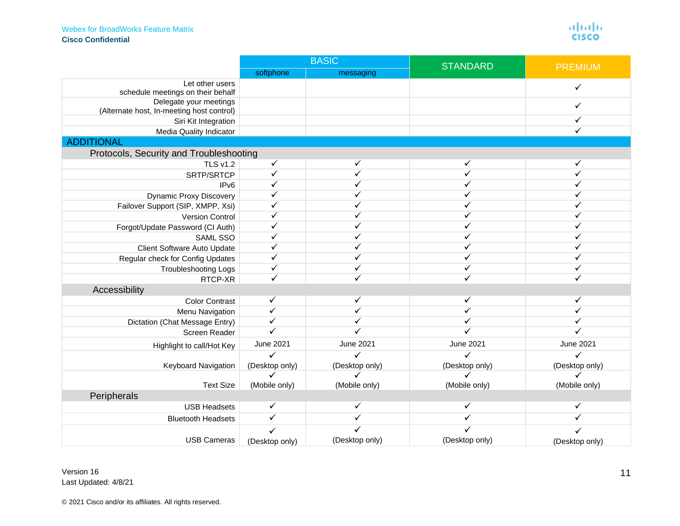aliah)<br>cisco

<span id="page-10-3"></span><span id="page-10-2"></span><span id="page-10-1"></span><span id="page-10-0"></span>

|                                                             | <b>BASIC</b>   |                  | <b>STANDARD</b>         | <b>PREMIUM</b>   |
|-------------------------------------------------------------|----------------|------------------|-------------------------|------------------|
|                                                             | softphone      | messaging        |                         |                  |
| Let other users                                             |                |                  |                         | ✓                |
| schedule meetings on their behalf<br>Delegate your meetings |                |                  |                         |                  |
| (Alternate host, In-meeting host control)                   |                |                  |                         | ✓                |
| Siri Kit Integration                                        |                |                  |                         | ✓                |
| Media Quality Indicator                                     |                |                  |                         | ✓                |
| <b>ADDITIONAL</b>                                           |                |                  |                         |                  |
| Protocols, Security and Troubleshooting                     |                |                  |                         |                  |
| <b>TLS v1.2</b>                                             | $\checkmark$   | $\checkmark$     | $\checkmark$            | ✓                |
| SRTP/SRTCP                                                  | ✓              | ✓                | ✓                       | ✓                |
| IP <sub>v6</sub>                                            | ✓              | ✓                | ✓                       | ✓                |
| <b>Dynamic Proxy Discovery</b>                              |                | ✓                | ✓                       | ✓                |
| Failover Support (SIP, XMPP, Xsi)                           |                | ✓                | ✓                       | ✓                |
| Version Control                                             | ✓              | ✓                | ✓                       | ✓                |
| Forgot/Update Password (CI Auth)                            |                | ✓                | ✓                       | ✓                |
| SAML SSO                                                    | ✓              | ✓                | ✓                       | ✓                |
| Client Software Auto Update                                 | ✓              | ✓                | ✓                       | ✓                |
| Regular check for Config Updates                            | $\checkmark$   | ✓                | ✓                       | ✓                |
| <b>Troubleshooting Logs</b>                                 | $\checkmark$   | ✓                | ✓                       | ✓                |
| RTCP-XR                                                     | $\checkmark$   | ✓                | ✓                       | ✓                |
| Accessibility                                               |                |                  |                         |                  |
| <b>Color Contrast</b>                                       | $\checkmark$   | $\checkmark$     | $\overline{\checkmark}$ | ✓                |
| Menu Navigation                                             | $\checkmark$   | ✓                | ✓                       |                  |
| Dictation (Chat Message Entry)                              | $\checkmark$   |                  |                         | ✓                |
| Screen Reader                                               |                |                  |                         |                  |
| Highlight to call/Hot Key                                   | June 2021      | <b>June 2021</b> | <b>June 2021</b>        | <b>June 2021</b> |
|                                                             | ✓              | ✓                | ✓                       | ✓                |
| Keyboard Navigation                                         | (Desktop only) | (Desktop only)   | (Desktop only)          | (Desktop only)   |
|                                                             |                |                  |                         |                  |
| <b>Text Size</b>                                            | (Mobile only)  | (Mobile only)    | (Mobile only)           | (Mobile only)    |
| Peripherals                                                 |                |                  |                         |                  |
| <b>USB Headsets</b>                                         | ✓              | $\checkmark$     | ✓                       | ✓                |
| <b>Bluetooth Headsets</b>                                   | $\checkmark$   | ✓                | ✓                       |                  |
|                                                             |                |                  |                         |                  |
| <b>USB Cameras</b>                                          | (Desktop only) | (Desktop only)   | (Desktop only)          | (Desktop only)   |